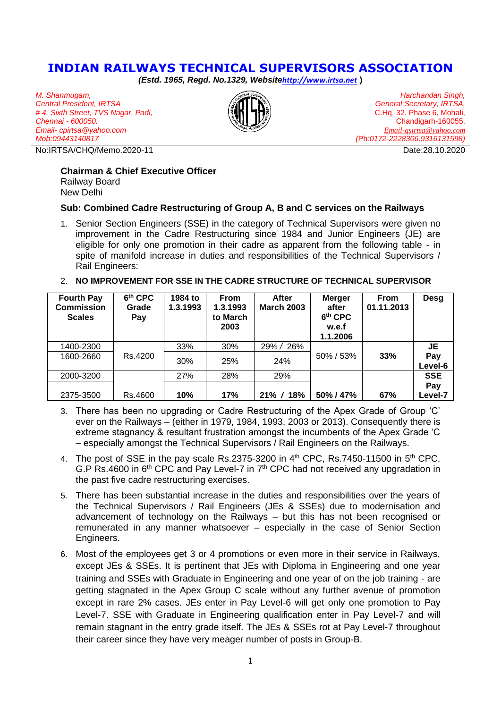## **INDIAN RAILWAYS TECHNICAL SUPERVISORS ASSOCIATION**

*(Estd. 1965, Regd. No.1329, Website[http://www.irtsa.net](http://www.irtsa.net/)* **)**

*M. Shanmugam, Central President, IRTSA # 4, Sixth Street, TVS Nagar, Padi, Chennai - 600050. Email- cpirtsa@yahoo.com Mob:09443140817*

No:IRTSA/CHQ/Memo.2020-11 Date:28.10.2020



*Harchandan Singh, General Secretary, IRTSA,* C.Hq. 32, Phase 6, Mohali, Chandigarh-160055. *[Email-gsirtsa@yahoo.com](mailto:Email-gsirtsa@yahoo.com) (*Ph*:0172-2228306,9316131598)*

## **Chairman & Chief Executive Officer**

Railway Board New Delhi

## **Sub: Combined Cadre Restructuring of Group A, B and C services on the Railways**

- 1. Senior Section Engineers (SSE) in the category of Technical Supervisors were given no improvement in the Cadre Restructuring since 1984 and Junior Engineers (JE) are eligible for only one promotion in their cadre as apparent from the following table - in spite of manifold increase in duties and responsibilities of the Technical Supervisors / Rail Engineers:
- 2. **NO IMPROVEMENT FOR SSE IN THE CADRE STRUCTURE OF TECHNICAL SUPERVISOR**

| <b>Fourth Pay</b><br><b>Commission</b><br><b>Scales</b> | 6th CPC<br>Grade<br>Pay | 1984 to<br>1.3.1993 | <b>From</b><br>1.3.1993<br>to March<br>2003 | After<br><b>March 2003</b> | <b>Merger</b><br>after<br>6 <sup>th</sup> CPC<br>w.e.f<br>1.1.2006 | <b>From</b><br>01.11.2013 | Desg           |
|---------------------------------------------------------|-------------------------|---------------------|---------------------------------------------|----------------------------|--------------------------------------------------------------------|---------------------------|----------------|
| 1400-2300                                               |                         | 33%                 | 30%                                         | 29% / 26%                  |                                                                    |                           | JE             |
| 1600-2660                                               | Rs.4200                 | 30%                 | 25%                                         | 24%                        | 50% / 53%                                                          | 33%                       | Pay<br>Level-6 |
| 2000-3200                                               |                         | 27%                 | 28%                                         | 29%                        |                                                                    |                           | <b>SSE</b>     |
|                                                         |                         |                     |                                             |                            |                                                                    |                           | Pay            |
| 2375-3500                                               | Rs.4600                 | 10%                 | 17%                                         | $21\% / 18\%$              | 50%/47%                                                            | 67%                       | ∟evel-7        |

- 3. There has been no upgrading or Cadre Restructuring of the Apex Grade of Group 'C' ever on the Railways – (either in 1979, 1984, 1993, 2003 or 2013). Consequently there is extreme stagnancy & resultant frustration amongst the incumbents of the Apex Grade 'C – especially amongst the Technical Supervisors / Rail Engineers on the Railways.
- 4. The post of SSE in the pay scale Rs.2375-3200 in  $4<sup>th</sup>$  CPC, Rs.7450-11500 in  $5<sup>th</sup>$  CPC, G.P Rs.4600 in  $6<sup>th</sup>$  CPC and Pay Level-7 in  $7<sup>th</sup>$  CPC had not received any upgradation in the past five cadre restructuring exercises.
- 5. There has been substantial increase in the duties and responsibilities over the years of the Technical Supervisors / Rail Engineers (JEs & SSEs) due to modernisation and advancement of technology on the Railways – but this has not been recognised or remunerated in any manner whatsoever – especially in the case of Senior Section Engineers.
- 6. Most of the employees get 3 or 4 promotions or even more in their service in Railways, except JEs & SSEs. It is pertinent that JEs with Diploma in Engineering and one year training and SSEs with Graduate in Engineering and one year of on the job training - are getting stagnated in the Apex Group C scale without any further avenue of promotion except in rare 2% cases. JEs enter in Pay Level-6 will get only one promotion to Pay Level-7. SSE with Graduate in Engineering qualification enter in Pay Level-7 and will remain stagnant in the entry grade itself. The JEs & SSEs rot at Pay Level-7 throughout their career since they have very meager number of posts in Group-B.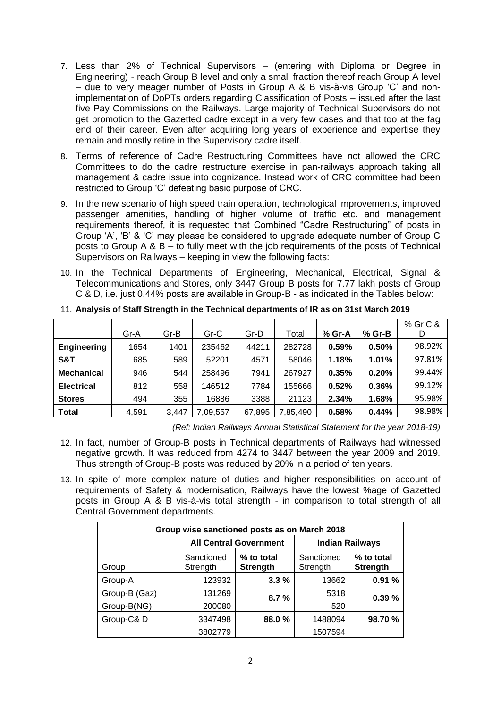- 7. Less than 2% of Technical Supervisors (entering with Diploma or Degree in Engineering) - reach Group B level and only a small fraction thereof reach Group A level – due to very meager number of Posts in Group A & B vis-à-vis Group 'C' and nonimplementation of DoPTs orders regarding Classification of Posts – issued after the last five Pay Commissions on the Railways. Large majority of Technical Supervisors do not get promotion to the Gazetted cadre except in a very few cases and that too at the fag end of their career. Even after acquiring long years of experience and expertise they remain and mostly retire in the Supervisory cadre itself.
- 8. Terms of reference of Cadre Restructuring Committees have not allowed the CRC Committees to do the cadre restructure exercise in pan-railways approach taking all management & cadre issue into cognizance. Instead work of CRC committee had been restricted to Group 'C' defeating basic purpose of CRC.
- 9. In the new scenario of high speed train operation, technological improvements, improved passenger amenities, handling of higher volume of traffic etc. and management requirements thereof, it is requested that Combined "Cadre Restructuring" of posts in Group 'A', 'B' & 'C' may please be considered to upgrade adequate number of Group C posts to Group A & B – to fully meet with the job requirements of the posts of Technical Supervisors on Railways – keeping in view the following facts:
- 10. In the Technical Departments of Engineering, Mechanical, Electrical, Signal & Telecommunications and Stores, only 3447 Group B posts for 7.77 lakh posts of Group C & D, i.e. just 0.44% posts are available in Group-B - as indicated in the Tables below:

|                   |       |       |          |        |          |        |        | % Gr C & |
|-------------------|-------|-------|----------|--------|----------|--------|--------|----------|
|                   | Gr-A  | Gr-B  | Gr-C     | Gr-D   | Total    | % Gr-A | % Gr-B | D        |
| Engineering       | 1654  | 1401  | 235462   | 44211  | 282728   | 0.59%  | 0.50%  | 98.92%   |
| S&T               | 685   | 589   | 52201    | 4571   | 58046    | 1.18%  | 1.01%  | 97.81%   |
| <b>Mechanical</b> | 946   | 544   | 258496   | 7941   | 267927   | 0.35%  | 0.20%  | 99.44%   |
| <b>Electrical</b> | 812   | 558   | 146512   | 7784   | 155666   | 0.52%  | 0.36%  | 99.12%   |
| <b>Stores</b>     | 494   | 355   | 16886    | 3388   | 21123    | 2.34%  | 1.68%  | 95.98%   |
| <b>Total</b>      | 4,591 | 3.447 | 7,09,557 | 67,895 | 7,85,490 | 0.58%  | 0.44%  | 98.98%   |

11. **Analysis of Staff Strength in the Technical departments of IR as on 31st March 2019**

*(Ref: Indian Railways Annual Statistical Statement for the year 2018-19)*

- 12. In fact, number of Group-B posts in Technical departments of Railways had witnessed negative growth. It was reduced from 4274 to 3447 between the year 2009 and 2019. Thus strength of Group-B posts was reduced by 20% in a period of ten years.
- 13. In spite of more complex nature of duties and higher responsibilities on account of requirements of Safety & modernisation, Railways have the lowest %age of Gazetted posts in Group A & B vis-à-vis total strength - in comparison to total strength of all Central Government departments.

| Group wise sanctioned posts as on March 2018 |                        |                               |                        |                               |  |
|----------------------------------------------|------------------------|-------------------------------|------------------------|-------------------------------|--|
|                                              |                        | <b>All Central Government</b> | <b>Indian Railways</b> |                               |  |
| Group                                        | Sanctioned<br>Strength | % to total<br><b>Strength</b> | Sanctioned<br>Strength | % to total<br><b>Strength</b> |  |
| Group-A                                      | 123932                 | 3.3%                          | 13662                  | 0.91%                         |  |
| Group-B (Gaz)                                | 131269                 | 8.7%                          | 5318                   | 0.39%                         |  |
| Group-B(NG)                                  | 200080                 |                               | 520                    |                               |  |
| Group-C&D                                    | 3347498                | 88.0%                         | 1488094                | 98.70 %                       |  |
|                                              | 3802779                |                               | 1507594                |                               |  |